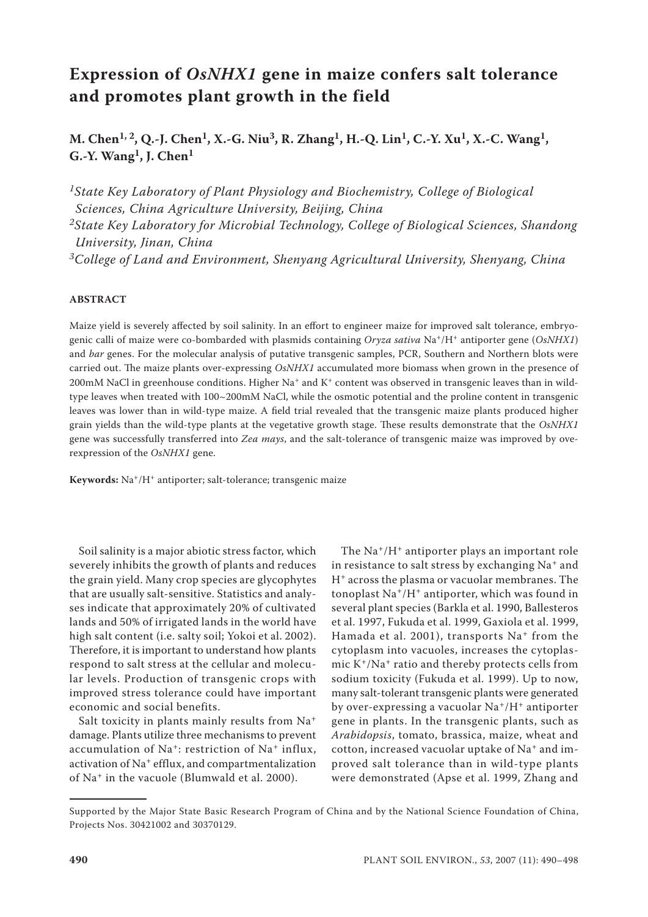# **Expression of** *OsNHX1* **gene in maize confers salt tolerance and promotes plant growth in the field**

**M. Chen1, 2, Q.-J. Chen1, X.-G. Niu3, R. Zhang1, H.-Q. Lin1, C.-Y. Xu1, X.-C. Wang1, G.-Y. Wang1, J. Chen1**

*1State Key Laboratory of Plant Physiology and Biochemistry, College of Biological Sciences, China Agriculture University, Beijing, China*

*2State Key Laboratory for Microbial Technology, College of Biological Sciences, Shandong University, Jinan, China*

*3College of Land and Environment, Shenyang Agricultural University, Shenyang, China*

#### **ABSTRACT**

Maize yield is severely affected by soil salinity. In an effort to engineer maize for improved salt tolerance, embryogenic calli of maize were co-bombarded with plasmids containing *Oryza sativa* Na+/H+ antiporter gene (*OsNHX1*) and *bar* genes. For the molecular analysis of putative transgenic samples, PCR, Southern and Northern blots were carried out. The maize plants over-expressing *OsNHX1* accumulated more biomass when grown in the presence of 200mM NaCl in greenhouse conditions. Higher Na+ and K+ content was observed in transgenic leaves than in wildtype leaves when treated with 100~200mM NaCl, while the osmotic potential and the proline content in transgenic leaves was lower than in wild-type maize. A field trial revealed that the transgenic maize plants produced higher grain yields than the wild-type plants at the vegetative growth stage. These results demonstrate that the *OsNHX1*  gene was successfully transferred into *Zea mays*, and the salt-tolerance of transgenic maize was improved by overexpression of the *OsNHX1* gene.

**Keywords:** Na+/H+ antiporter; salt-tolerance; transgenic maize

Soil salinity is a major abiotic stress factor, which severely inhibits the growth of plants and reduces the grain yield. Many crop species are glycophytes that are usually salt-sensitive. Statistics and analyses indicate that approximately 20% of cultivated lands and 50% of irrigated lands in the world have high salt content (i.e. salty soil; Yokoi et al. 2002). Therefore, it is important to understand how plants respond to salt stress at the cellular and molecular levels. Production of transgenic crops with improved stress tolerance could have important economic and social benefits.

Salt toxicity in plants mainly results from Na<sup>+</sup> damage. Plants utilize three mechanisms to prevent accumulation of Na+: restriction of Na+ influx, activation of Na+ efflux, and compartmentalization of Na+ in the vacuole (Blumwald et al. 2000).

The Na+/H+ antiporter plays an important role in resistance to salt stress by exchanging Na<sup>+</sup> and H+ across the plasma or vacuolar membranes. The tonoplast Na+/H+ antiporter, which was found in several plant species (Barkla et al. 1990, Ballesteros et al. 1997, Fukuda et al. 1999, Gaxiola et al. 1999, Hamada et al. 2001), transports Na<sup>+</sup> from the cytoplasm into vacuoles, increases the cytoplasmic  $K^+/Na^+$  ratio and thereby protects cells from sodium toxicity (Fukuda et al. 1999). Up to now, many salt-tolerant transgenic plants were generated by over-expressing a vacuolar Na<sup>+</sup>/H<sup>+</sup> antiporter gene in plants. In the transgenic plants, such as *Arabidopsis*, tomato, brassica, maize, wheat and cotton, increased vacuolar uptake of Na+ and improved salt tolerance than in wild-type plants were demonstrated (Apse et al. 1999, Zhang and

Supported by the Major State Basic Research Program of China and by the National Science Foundation of China, Projects Nos. 30421002 and 30370129.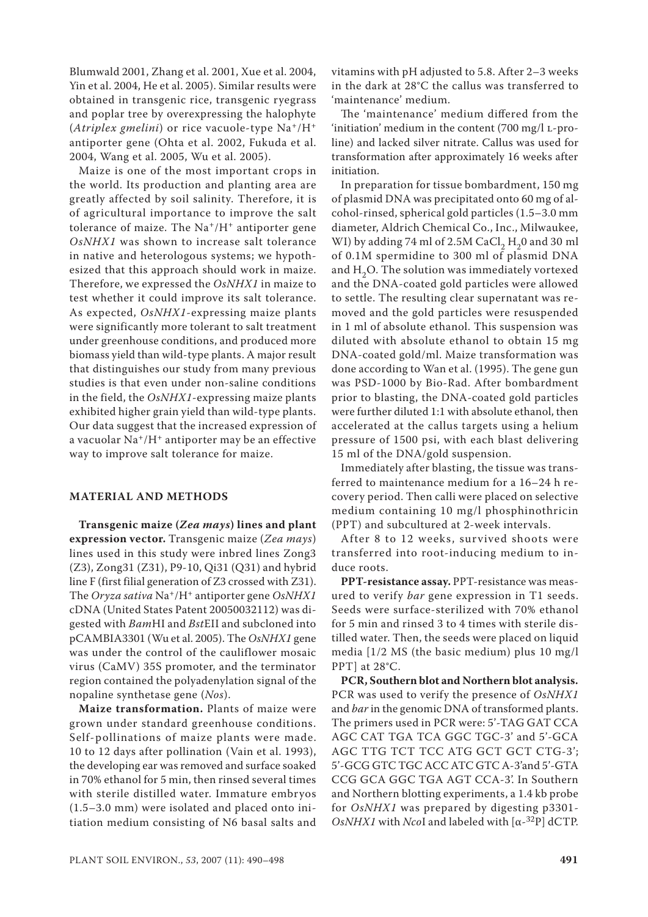Blumwald 2001, Zhang et al. 2001, Xue et al. 2004, Yin et al. 2004, He et al. 2005). Similar results were obtained in transgenic rice, transgenic ryegrass and poplar tree by overexpressing the halophyte (*Atriplex gmelini*) or rice vacuole-type Na+/H+ antiporter gene (Ohta et al. 2002, Fukuda et al. 2004, Wang et al. 2005, Wu et al. 2005).

Maize is one of the most important crops in the world. Its production and planting area are greatly affected by soil salinity. Therefore, it is of agricultural importance to improve the salt tolerance of maize. The Na<sup>+</sup>/H<sup>+</sup> antiporter gene *OsNHX1* was shown to increase salt tolerance in native and heterologous systems; we hypothesized that this approach should work in maize. Therefore, we expressed the *OsNHX1* in maize to test whether it could improve its salt tolerance. As expected, *OsNHX1*-expressing maize plants were significantly more tolerant to salt treatment under greenhouse conditions, and produced more biomass yield than wild-type plants. A major result that distinguishes our study from many previous studies is that even under non-saline conditions in the field, the *OsNHX1*-expressing maize plants exhibited higher grain yield than wild-type plants. Our data suggest that the increased expression of a vacuolar Na+/H+ antiporter may be an effective way to improve salt tolerance for maize.

# **MATERIAL AND METHODS**

**Transgenic maize (***Zea mays***) lines and plant expression vector.** Transgenic maize (*Zea mays*) lines used in this study were inbred lines Zong3 (Z3), Zong31 (Z31), P9-10, Qi31 (Q31) and hybrid line F (first filial generation of Z3 crossed with Z31). The *Oryza sativa* Na+/H+ antiporter gene *OsNHX1* cDNA (United States Patent 20050032112) was digested with *Bam*HI and *Bst*EII and subcloned into pCAMBIA3301 (Wu et al. 2005). The *OsNHX1* gene was under the control of the cauliflower mosaic virus (CaMV) 35S promoter, and the terminator region contained the polyadenylation signal of the nopaline synthetase gene (*Nos*).

**Maize transformation.** Plants of maize were grown under standard greenhouse conditions. Self-pollinations of maize plants were made. 10 to 12 days after pollination (Vain et al. 1993), the developing ear was removed and surface soaked in 70% ethanol for 5 min, then rinsed several times with sterile distilled water. Immature embryos (1.5–3.0 mm) were isolated and placed onto initiation medium consisting of N6 basal salts and vitamins with pH adjusted to 5.8. After 2–3 weeks in the dark at 28°C the callus was transferred to 'maintenance' medium.

The 'maintenance' medium differed from the 'initiation' medium in the content (700 mg/l L-proline) and lacked silver nitrate. Callus was used for transformation after approximately 16 weeks after initiation.

In preparation for tissue bombardment, 150 mg of plasmid DNA was precipitated onto 60 mg of alcohol-rinsed, spherical gold particles (1.5–3.0 mm diameter, Aldrich Chemical Co., Inc., Milwaukee, WI) by adding 74 ml of 2.5M CaCl<sub>2</sub> H<sub>2</sub>0 and 30 ml of 0.1M spermidine to 300 ml of plasmid DNA and H<sub>2</sub>O. The solution was immediately vortexed and the DNA-coated gold particles were allowed to settle. The resulting clear supernatant was removed and the gold particles were resuspended in 1 ml of absolute ethanol. This suspension was diluted with absolute ethanol to obtain 15 mg DNA-coated gold/ml. Maize transformation was done according to Wan et al. (1995). The gene gun was PSD-1000 by Bio-Rad. After bombardment prior to blasting, the DNA-coated gold particles were further diluted 1:1 with absolute ethanol, then accelerated at the callus targets using a helium pressure of 1500 psi, with each blast delivering 15 ml of the DNA/gold suspension.

Immediately after blasting, the tissue was transferred to maintenance medium for a 16–24 h recovery period. Then calli were placed on selective medium containing 10 mg/l phosphinothricin (PPT) and subcultured at 2-week intervals.

After 8 to 12 weeks, survived shoots were transferred into root-inducing medium to induce roots.

**PPT-resistance assay.** PPT-resistance was measured to verify *bar* gene expression in T1 seeds. Seeds were surface-sterilized with 70% ethanol for 5 min and rinsed 3 to 4 times with sterile distilled water. Then, the seeds were placed on liquid media [1/2 MS (the basic medium) plus 10 mg/l PPT] at 28°C.

**PCR, Southern blot and Northern blot analysis.** PCR was used to verify the presence of *OsNHX1* and *bar* in the genomic DNA of transformed plants. The primers used in PCR were: 5'-TAG GAT CCA AGC CAT TGA TCA GGC TGC-3' and 5'-GCA AGC TTG TCT TCC ATG GCT GCT CTG-3'; 5'-GCG GTC TGC ACC ATC GTC A-3'and 5'-GTA CCG GCA GGC TGA AGT CCA-3'. In Southern and Northern blotting experiments, a 1.4 kb probe for *OsNHX1* was prepared by digesting p3301- *OsNHX1* with *Nco*I and labeled with [α-32P] dCTP.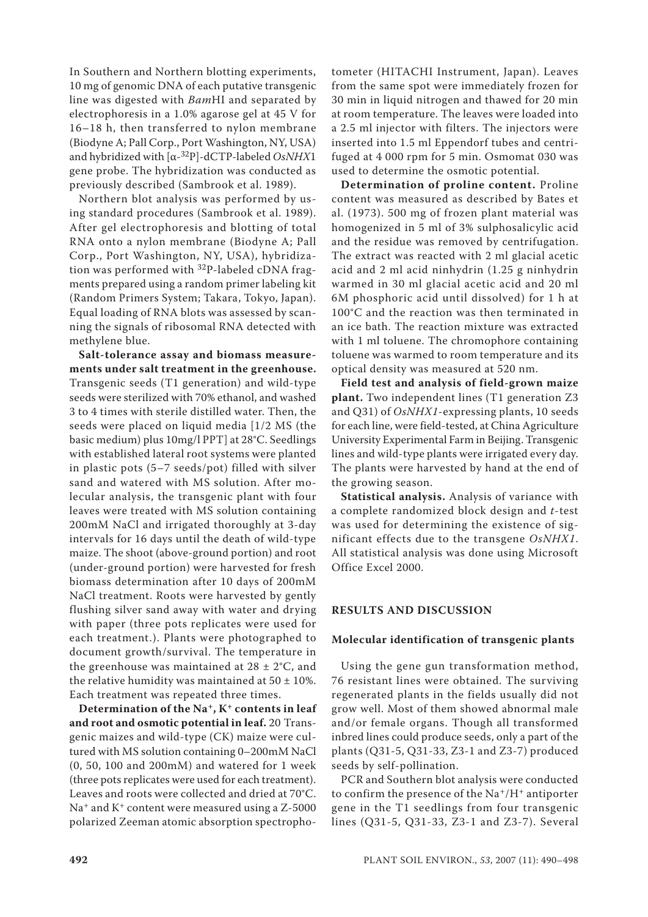In Southern and Northern blotting experiments, 10 mg of genomic DNA of each putative transgenic line was digested with *Bam*HI and separated by electrophoresis in a 1.0% agarose gel at 45 V for 16–18 h, then transferred to nylon membrane (Biodyne A; Pall Corp., Port Washington, NY, USA) and hybridized with [α-32P]-dCTP-labeled *OsNHX*1 gene probe. The hybridization was conducted as previously described (Sambrook et al. 1989).

Northern blot analysis was performed by using standard procedures (Sambrook et al. 1989). After gel electrophoresis and blotting of total RNA onto a nylon membrane (Biodyne A; Pall Corp., Port Washington, NY, USA), hybridization was performed with 32P-labeled cDNA fragments prepared using a random primer labeling kit (Random Primers System; Takara, Tokyo, Japan). Equal loading of RNA blots was assessed by scanning the signals of ribosomal RNA detected with methylene blue.

**Salt-tolerance assay and biomass measurements under salt treatment in the greenhouse.** Transgenic seeds (T1 generation) and wild-type seeds were sterilized with 70% ethanol, and washed 3 to 4 times with sterile distilled water. Then, the seeds were placed on liquid media [1/2 MS (the basic medium) plus 10mg/l PPT] at 28°C. Seedlings with established lateral root systems were planted in plastic pots (5–7 seeds/pot) filled with silver sand and watered with MS solution. After molecular analysis, the transgenic plant with four leaves were treated with MS solution containing 200mM NaCl and irrigated thoroughly at 3-day intervals for 16 days until the death of wild-type maize. The shoot (above-ground portion) and root (under-ground portion) were harvested for fresh biomass determination after 10 days of 200mM NaCl treatment. Roots were harvested by gently flushing silver sand away with water and drying with paper (three pots replicates were used for each treatment.). Plants were photographed to document growth/survival. The temperature in the greenhouse was maintained at  $28 \pm 2^{\circ}$ C, and the relative humidity was maintained at  $50 \pm 10\%$ . Each treatment was repeated three times.

**Determination of the Na+, K+ contents in leaf and root and osmotic potential in leaf.** 20 Transgenic maizes and wild-type (CK) maize were cultured with MS solution containing 0–200mM NaCl (0, 50, 100 and 200mM) and watered for 1 week (three pots replicates were used for each treatment). Leaves and roots were collected and dried at 70°C.  $Na<sup>+</sup>$  and  $K<sup>+</sup>$  content were measured using a Z-5000 polarized Zeeman atomic absorption spectrophotometer (HITACHI Instrument, Japan). Leaves from the same spot were immediately frozen for 30 min in liquid nitrogen and thawed for 20 min at room temperature. The leaves were loaded into a 2.5 ml injector with filters. The injectors were inserted into 1.5 ml Eppendorf tubes and centrifuged at 4 000 rpm for 5 min. Osmomat 030 was used to determine the osmotic potential.

**Determination of proline content.** Proline content was measured as described by Bates et al. (1973). 500 mg of frozen plant material was homogenized in 5 ml of 3% sulphosalicylic acid and the residue was removed by centrifugation. The extract was reacted with 2 ml glacial acetic acid and 2 ml acid ninhydrin (1.25 g ninhydrin warmed in 30 ml glacial acetic acid and 20 ml 6M phosphoric acid until dissolved) for 1 h at 100°C and the reaction was then terminated in an ice bath. The reaction mixture was extracted with 1 ml toluene. The chromophore containing toluene was warmed to room temperature and its optical density was measured at 520 nm.

**Field test and analysis of field-grown maize plant.** Two independent lines (T1 generation Z3 and Q31) of *OsNHX1*-expressing plants, 10 seeds for each line, were field-tested, at China Agriculture University Experimental Farm in Beijing. Transgenic lines and wild-type plants were irrigated every day. The plants were harvested by hand at the end of the growing season.

**Statistical analysis.** Analysis of variance with a complete randomized block design and *t*-test was used for determining the existence of significant effects due to the transgene *OsNHX1*. All statistical analysis was done using Microsoft Office Excel 2000.

#### **RESULTS AND DISCUSSION**

#### **Molecular identification of transgenic plants**

Using the gene gun transformation method, 76 resistant lines were obtained. The surviving regenerated plants in the fields usually did not grow well. Most of them showed abnormal male and/or female organs. Though all transformed inbred lines could produce seeds, only a part of the plants (Q31-5, Q31-33, Z3-1 and Z3-7) produced seeds by self-pollination.

PCR and Southern blot analysis were conducted to confirm the presence of the  $Na^+/H^+$  antiporter gene in the T1 seedlings from four transgenic lines (Q31-5, Q31-33, Z3-1 and Z3-7). Several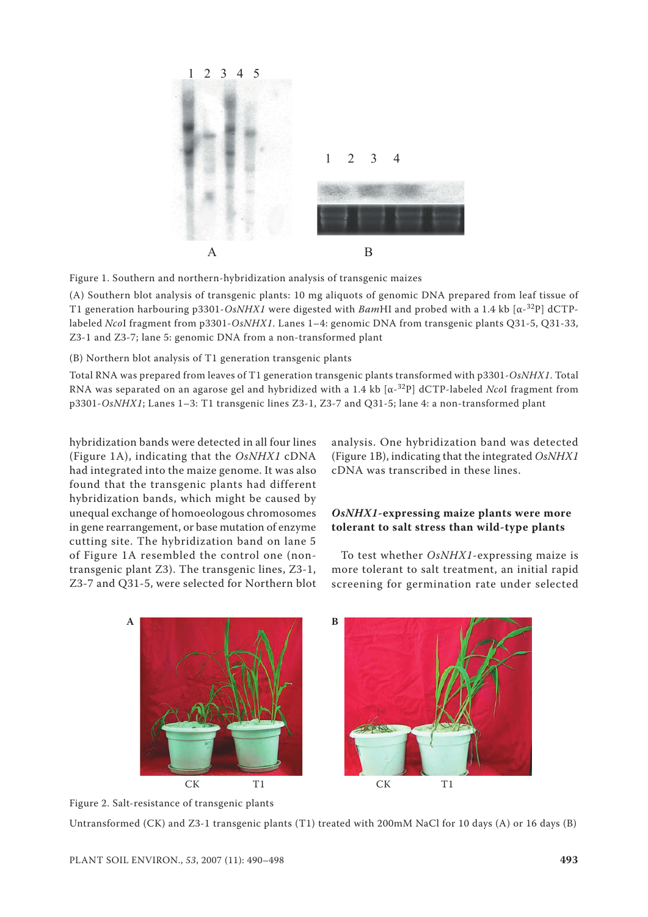

Figure 1. Southern and northern-hybridization analysis of transgenic maizes

(A) Southern blot analysis of transgenic plants: 10 mg aliquots of genomic DNA prepared from leaf tissue of T1 generation harbouring p3301-*OsNHX1* were digested with *Bam*HI and probed with a 1.4 kb [α-32P] dCTPlabeled *Nco*I fragment from p3301-*OsNHX1*. Lanes 1–4: genomic DNA from transgenic plants Q31-5, Q31-33, Z3-1 and Z3-7; lane 5: genomic DNA from a non-transformed plant

(B) Northern blot analysis of T1 generation transgenic plants

Total RNA was prepared from leaves of T1 generation transgenic plants transformed with p3301-*OsNHX1*. Total RNA was separated on an agarose gel and hybridized with a 1.4 kb [α-32P] dCTP-labeled *Nco*I fragment from p3301-*OsNHX1*; Lanes 1–3: T1 transgenic lines Z3-1, Z3-7 and Q31-5; lane 4: a non-transformed plant

hybridization bands were detected in all four lines (Figure 1A), indicating that the *OsNHX1* cDNA had integrated into the maize genome. It was also found that the transgenic plants had different hybridization bands, which might be caused by unequal exchange of homoeologous chromosomes in gene rearrangement, or base mutation of enzyme cutting site. The hybridization band on lane 5 of Figure 1A resembled the control one (nontransgenic plant Z3). The transgenic lines, Z3-1, Z3-7 and Q31-5, were selected for Northern blot

analysis. One hybridization band was detected (Figure 1B), indicating that the integrated *OsNHX1* cDNA was transcribed in these lines.

# *OsNHX1***-expressing maize plants were more tolerant to salt stress than wild-type plants**

To test whether *OsNHX1*-expressing maize is more tolerant to salt treatment, an initial rapid screening for germination rate under selected



Figure 2. Salt-resistance of transgenic plants

Untransformed (CK) and Z3-1 transgenic plants (T1) treated with 200mM NaCl for 10 days (A) or 16 days (B)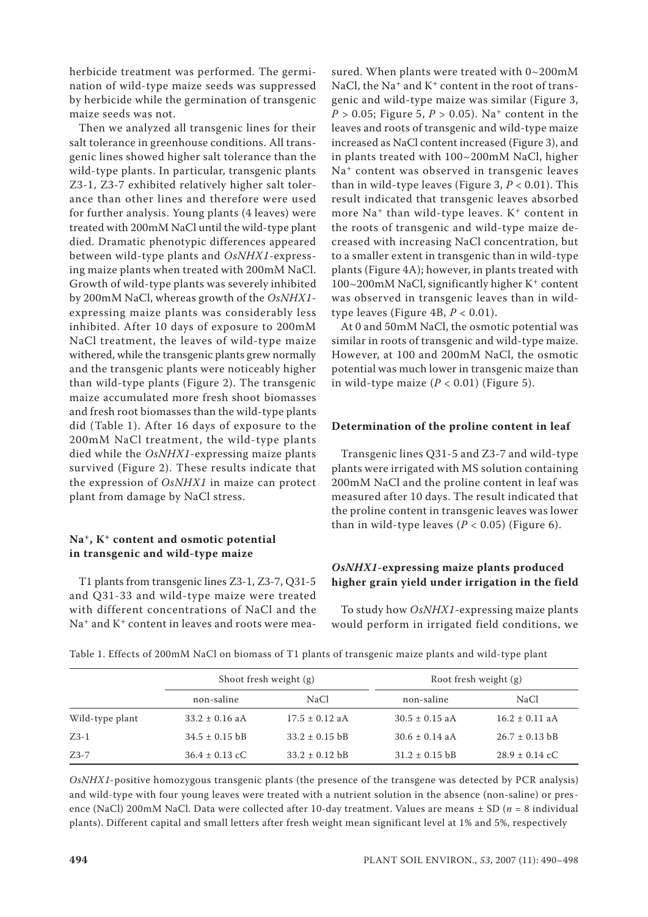herbicide treatment was performed. The germination of wild-type maize seeds was suppressed by herbicide while the germination of transgenic maize seeds was not.

Then we analyzed all transgenic lines for their salt tolerance in greenhouse conditions. All transgenic lines showed higher salt tolerance than the wild-type plants. In particular, transgenic plants Z3-1, Z3-7 exhibited relatively higher salt tolerance than other lines and therefore were used for further analysis. Young plants (4 leaves) were treated with 200mM NaCl until the wild-type plant died. Dramatic phenotypic differences appeared between wild-type plants and *OsNHX1*-expressing maize plants when treated with 200mM NaCl. Growth of wild-type plants was severely inhibited by 200mM NaCl, whereas growth of the *OsNHX1* expressing maize plants was considerably less inhibited. After 10 days of exposure to 200mM NaCl treatment, the leaves of wild-type maize withered, while the transgenic plants grew normally and the transgenic plants were noticeably higher than wild-type plants (Figure 2). The transgenic maize accumulated more fresh shoot biomasses and fresh root biomasses than the wild-type plants did (Table 1). After 16 days of exposure to the 200mM NaCl treatment, the wild-type plants died while the *OsNHX1*-expressing maize plants survived (Figure 2). These results indicate that the expression of *OsNHX1* in maize can protect plant from damage by NaCl stress.

## **Na+, K+ content and osmotic potential in transgenic and wild-type maize**

T1 plants from transgenic lines Z3-1, Z3-7, Q31-5 and Q31-33 and wild-type maize were treated with different concentrations of NaCl and the Na<sup>+</sup> and K<sup>+</sup> content in leaves and roots were mea-

sured. When plants were treated with 0~200mM NaCl, the Na<sup>+</sup> and  $K<sup>+</sup>$  content in the root of transgenic and wild-type maize was similar (Figure 3,  $P > 0.05$ ; Figure 5,  $P > 0.05$ ). Na<sup>+</sup> content in the leaves and roots of transgenic and wild-type maize increased as NaCl content increased (Figure 3), and in plants treated with 100~200mM NaCl, higher Na+ content was observed in transgenic leaves than in wild-type leaves (Figure 3,  $P < 0.01$ ). This result indicated that transgenic leaves absorbed more  $Na<sup>+</sup>$  than wild-type leaves.  $K<sup>+</sup>$  content in the roots of transgenic and wild-type maize decreased with increasing NaCl concentration, but to a smaller extent in transgenic than in wild-type plants (Figure 4A); however, in plants treated with 100~200mM NaCl, significantly higher K<sup>+</sup> content was observed in transgenic leaves than in wildtype leaves (Figure 4B,  $P < 0.01$ ).

At 0 and 50mM NaCl, the osmotic potential was similar in roots of transgenic and wild-type maize. However, at 100 and 200mM NaCl, the osmotic potential was much lower in transgenic maize than in wild-type maize  $(P < 0.01)$  (Figure 5).

## **Determination of the proline content in leaf**

Transgenic lines Q31-5 and Z3-7 and wild-type plants were irrigated with MS solution containing 200mM NaCl and the proline content in leaf was measured after 10 days. The result indicated that the proline content in transgenic leaves was lower than in wild-type leaves  $(P < 0.05)$  (Figure 6).

## *OsNHX1***-expressing maize plants produced higher grain yield under irrigation in the field**

To study how *OsNHX1*-expressing maize plants would perform in irrigated field conditions, we

|                 | Shoot fresh weight (g) |                    | Root fresh weight (g) |                    |
|-----------------|------------------------|--------------------|-----------------------|--------------------|
|                 | non-saline             | NaCl.              | non-saline            | NaCl               |
| Wild-type plant | $33.2 \pm 0.16$ aA     | $17.5 \pm 0.12$ aA | $30.5 \pm 0.15$ a A   | $16.2 \pm 0.11$ aA |
| $Z3-1$          | $34.5 \pm 0.15$ bB     | $33.2 \pm 0.15$ bB | $30.6 \pm 0.14$ aA    | $26.7 \pm 0.13$ bB |
| $Z3-7$          | $36.4 \pm 0.13$ cC     | $33.2 \pm 0.12$ bB | $31.2 \pm 0.15$ bB    | $28.9 \pm 0.14$ cC |

Table 1. Effects of 200mM NaCl on biomass of T1 plants of transgenic maize plants and wild-type plant

*OsNHX1*-positive homozygous transgenic plants (the presence of the transgene was detected by PCR analysis) and wild-type with four young leaves were treated with a nutrient solution in the absence (non-saline) or presence (NaCl) 200mM NaCl. Data were collected after 10-day treatment. Values are means ± SD (*n* = 8 individual plants). Different capital and small letters after fresh weight mean significant level at 1% and 5%, respectively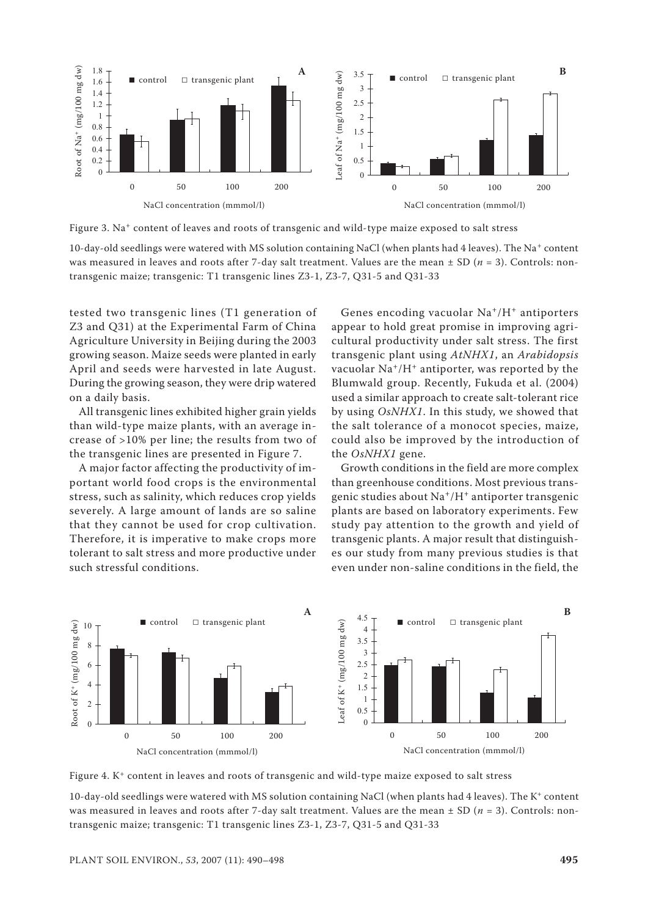

Figure 3. Na<sup>+</sup> content of leaves and roots of transgenic and wild-type maize exposed to salt stress

10-day-old seedlings were watered with MS solution containing NaCl (when plants had 4 leaves). The Na+ content was measured in leaves and roots after 7-day salt treatment. Values are the mean  $\pm$  SD ( $n = 3$ ). Controls: nontransgenic maize; transgenic: T1 transgenic lines Z3-1, Z3-7, Q31-5 and Q31-33

tested two transgenic lines (T1 generation of Z3 and Q31) at the Experimental Farm of China Agriculture University in Beijing during the 2003 growing season. Maize seeds were planted in early April and seeds were harvested in late August. During the growing season, they were drip watered on a daily basis.

All transgenic lines exhibited higher grain yields than wild-type maize plants, with an average increase of >10% per line; the results from two of the transgenic lines are presented in Figure 7.

A major factor affecting the productivity of important world food crops is the environmental stress, such as salinity, which reduces crop yields severely. A large amount of lands are so saline that they cannot be used for crop cultivation. Therefore, it is imperative to make crops more tolerant to salt stress and more productive under such stressful conditions.

Genes encoding vacuolar Na+/H+ antiporters appear to hold great promise in improving agricultural productivity under salt stress. The first transgenic plant using *AtNHX1*, an *Arabidopsis* vacuolar  $Na^+/H^+$  antiporter, was reported by the Blumwald group. Recently, Fukuda et al. (2004) used a similar approach to create salt-tolerant rice by using *OsNHX1*. In this study, we showed that the salt tolerance of a monocot species, maize, could also be improved by the introduction of the *OsNHX1* gene.

Growth conditions in the field are more complex than greenhouse conditions. Most previous transgenic studies about Na+/H+ antiporter transgenic plants are based on laboratory experiments. Few study pay attention to the growth and yield of transgenic plants. A major result that distinguishes our study from many previous studies is that even under non-saline conditions in the field, the



Figure 4. K+ content in leaves and roots of transgenic and wild-type maize exposed to salt stress

10-day-old seedlings were watered with MS solution containing NaCl (when plants had 4 leaves). The K+ content was measured in leaves and roots after 7-day salt treatment. Values are the mean  $\pm$  SD ( $n = 3$ ). Controls: nontransgenic maize; transgenic: T1 transgenic lines Z3-1, Z3-7, Q31-5 and Q31-33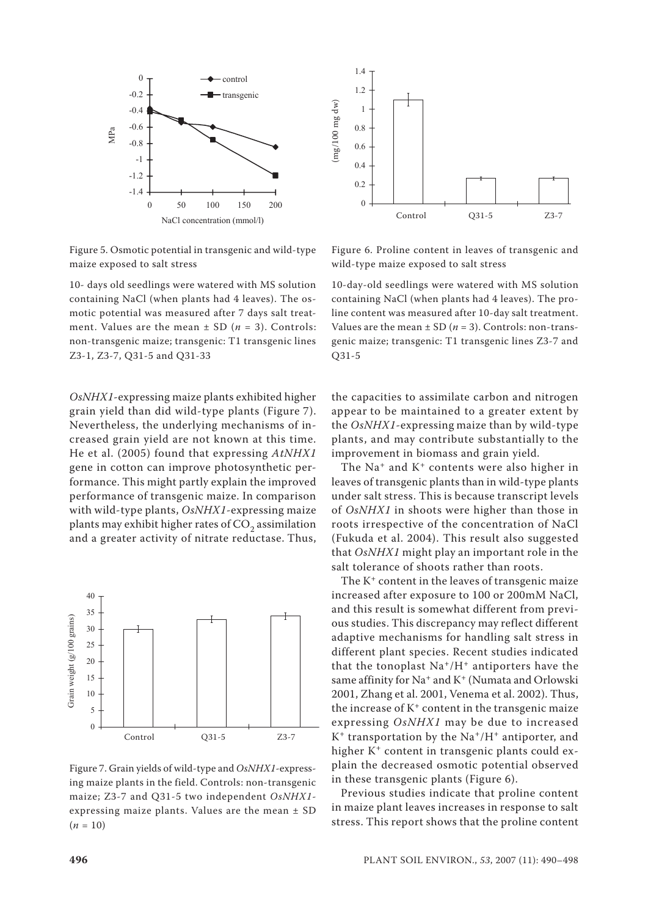

1.4 1.2  $\left(\rm{mg}/100~\rm{mg}~\rm{d}~\rm{w}\right)$ (mg/100 mg dw) 1 0.8 0.6 0.4 0.2  $\Omega$ control Control Q31-5 Z3-7 Q31-5 Z3-7

Figure 5. Osmotic potential in transgenic and wild-type maize exposed to salt stress

10- days old seedlings were watered with MS solution containing NaCl (when plants had 4 leaves). The osmotic potential was measured after 7 days salt treatment. Values are the mean  $\pm$  SD ( $n = 3$ ). Controls: non-transgenic maize; transgenic: T1 transgenic lines Z3-1, Z3-7, Q31-5 and Q31-33

*OsNHX1*-expressing maize plants exhibited higher grain yield than did wild-type plants (Figure 7). Nevertheless, the underlying mechanisms of increased grain yield are not known at this time. He et al. (2005) found that expressing *AtNHX1* gene in cotton can improve photosynthetic performance. This might partly explain the improved performance of transgenic maize. In comparison with wild-type plants, *OsNHX1*-expressing maize plants may exhibit higher rates of  $CO<sub>2</sub>$  assimilation and a greater activity of nitrate reductase. Thus,



Figure 7. Grain yields of wild-type and *OsNHX1*-expressing maize plants in the field. Controls: non-transgenic maize; Z3-7 and Q31-5 two independent *OsNHX1* expressing maize plants. Values are the mean ± SD  $(n = 10)$ 

Figure 6. Proline content in leaves of transgenic and wild-type maize exposed to salt stress

10-day-old seedlings were watered with MS solution containing NaCl (when plants had 4 leaves). The proline content was measured after 10-day salt treatment. Values are the mean  $\pm$  SD ( $n = 3$ ). Controls: non-transgenic maize; transgenic: T1 transgenic lines Z3-7 and Q31-5

the capacities to assimilate carbon and nitrogen appear to be maintained to a greater extent by the *OsNHX1*-expressing maize than by wild-type plants, and may contribute substantially to the improvement in biomass and grain yield.

The Na<sup>+</sup> and  $K<sup>+</sup>$  contents were also higher in leaves of transgenic plants than in wild-type plants under salt stress. This is because transcript levels of *OsNHX1* in shoots were higher than those in roots irrespective of the concentration of NaCl (Fukuda et al. 2004). This result also suggested that *OsNHX1* might play an important role in the salt tolerance of shoots rather than roots.

The  $K^+$  content in the leaves of transgenic maize increased after exposure to 100 or 200mM NaCl, and this result is somewhat different from previous studies. This discrepancy may reflect different adaptive mechanisms for handling salt stress in different plant species. Recent studies indicated that the tonoplast  $Na^+/H^+$  antiporters have the same affinity for  $Na^+$  and  $K^+$  (Numata and Orlowski 2001, Zhang et al. 2001, Venema et al. 2002). Thus, the increase of  $K<sup>+</sup>$  content in the transgenic maize expressing *OsNHX1* may be due to increased  $K^+$  transportation by the Na<sup>+</sup>/H<sup>+</sup> antiporter, and higher K<sup>+</sup> content in transgenic plants could explain the decreased osmotic potential observed in these transgenic plants (Figure 6).

Previous studies indicate that proline content in maize plant leaves increases in response to salt stress. This report shows that the proline content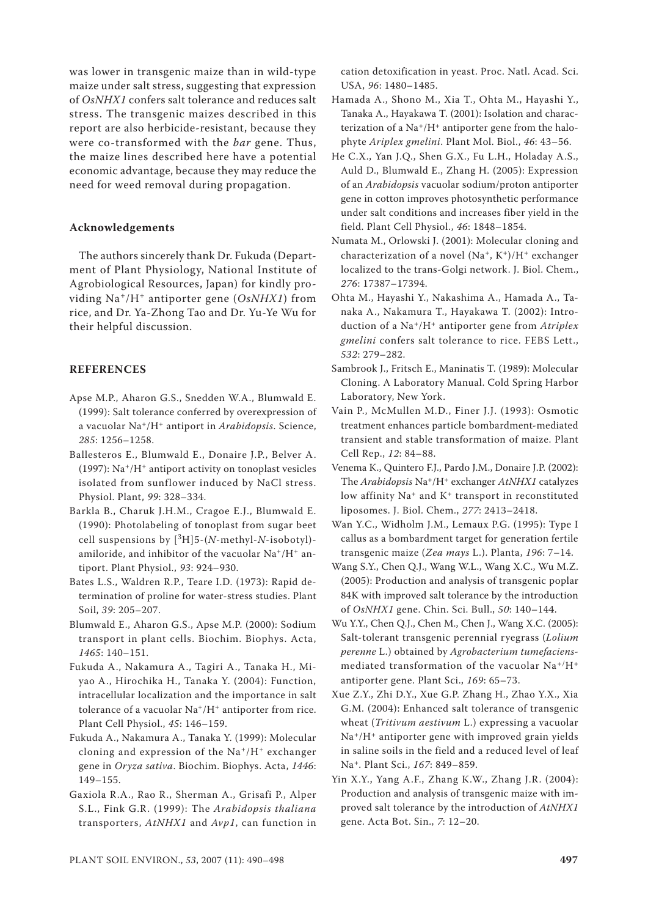was lower in transgenic maize than in wild-type maize under salt stress, suggesting that expression of *OsNHX1* confers salt tolerance and reduces salt stress. The transgenic maizes described in this report are also herbicide-resistant, because they were co-transformed with the *bar* gene. Thus, the maize lines described here have a potential economic advantage, because they may reduce the need for weed removal during propagation.

#### **Acknowledgements**

The authors sincerely thank Dr. Fukuda (Department of Plant Physiology, National Institute of Agrobiological Resources, Japan) for kindly providing Na+/H+ antiporter gene (*OsNHX1*) from rice, and Dr. Ya-Zhong Tao and Dr. Yu-Ye Wu for their helpful discussion.

## **REFERENCES**

- Apse M.P., Aharon G.S., Snedden W.A., Blumwald E. (1999): Salt tolerance conferred by overexpression of a vacuolar Na+/H+ antiport in *Arabidopsis*. Science, *285*: 1256–1258.
- Ballesteros E., Blumwald E., Donaire J.P., Belver A. (1997):  $\rm Na^+/H^+$  antiport activity on tonoplast vesicles isolated from sunflower induced by NaCl stress. Physiol. Plant, *99*: 328–334.
- Barkla B., Charuk J.H.M., Cragoe E.J., Blumwald E. (1990): Photolabeling of tonoplast from sugar beet cell suspensions by  $[{}^3H]5-(N-$ methyl- $N-$ isobotyl)amiloride, and inhibitor of the vacuolar Na+/H+ antiport. Plant Physiol., *93*: 924–930.
- Bates L.S., Waldren R.P., Teare I.D. (1973): Rapid determination of proline for water-stress studies. Plant Soil, *39*: 205–207.
- Blumwald E., Aharon G.S., Apse M.P. (2000): Sodium transport in plant cells. Biochim. Biophys. Acta, *1465*: 140–151.
- Fukuda A., Nakamura A., Tagiri A., Tanaka H., Miyao A., Hirochika H., Tanaka Y. (2004): Function, intracellular localization and the importance in salt tolerance of a vacuolar Na<sup>+</sup>/H<sup>+</sup> antiporter from rice. Plant Cell Physiol., *45*: 146–159.
- Fukuda A., Nakamura A., Tanaka Y. (1999): Molecular cloning and expression of the  $Na^+/H^+$  exchanger gene in *Oryza sativa*. Biochim. Biophys. Acta, *1446*: 149–155.
- Gaxiola R.A., Rao R., Sherman A., Grisafi P., Alper S.L., Fink G.R. (1999): The *Arabidopsis thaliana* transporters, *AtNHX1* and *Avp1*, can function in

cation detoxification in yeast. Proc. Natl. Acad. Sci. USA, *96*: 1480–1485.

- Hamada A., Shono M., Xia T., Ohta M., Hayashi Y., Tanaka A., Hayakawa T. (2001): Isolation and characterization of a  $Na^+/H^+$  antiporter gene from the halophyte *Ariplex gmelini*. Plant Mol. Biol., *46*: 43–56.
- He C.X., Yan J.Q., Shen G.X., Fu L.H., Holaday A.S., Auld D., Blumwald E., Zhang H. (2005): Expression of an *Arabidopsis* vacuolar sodium/proton antiporter gene in cotton improves photosynthetic performance under salt conditions and increases fiber yield in the field. Plant Cell Physiol., *46*: 1848–1854.
- Numata M., Orlowski J. (2001): Molecular cloning and characterization of a novel  $(Na^+, K^+)/H^+$  exchanger localized to the trans-Golgi network. J. Biol. Chem., *276*: 17387–17394.
- Ohta M., Hayashi Y., Nakashima A., Hamada A., Tanaka A., Nakamura T., Hayakawa T. (2002): Introduction of a Na+/H+ antiporter gene from *Atriplex gmelini* confers salt tolerance to rice. FEBS Lett., *532*: 279–282.
- Sambrook J., Fritsch E., Maninatis T. (1989): Molecular Cloning. A Laboratory Manual. Cold Spring Harbor Laboratory, New York.
- Vain P., McMullen M.D., Finer J.J. (1993): Osmotic treatment enhances particle bombardment-mediated transient and stable transformation of maize. Plant Cell Rep., *12*: 84–88.
- Venema K., Quintero F.J., Pardo J.M., Donaire J.P. (2002): The *Arabidopsis* Na+/H+ exchanger *AtNHX1* catalyzes low affinity Na<sup>+</sup> and K<sup>+</sup> transport in reconstituted liposomes. J. Biol. Chem., *277*: 2413–2418.
- Wan Y.C., Widholm J.M., Lemaux P.G. (1995): Type I callus as a bombardment target for generation fertile transgenic maize (*Zea mays* L.). Planta, *196*: 7–14.
- Wang S.Y., Chen Q.J., Wang W.L., Wang X.C., Wu M.Z. (2005): Production and analysis of transgenic poplar 84K with improved salt tolerance by the introduction of *OsNHX1* gene. Chin. Sci. Bull., *50*: 140–144.
- Wu Y.Y., Chen Q.J., Chen M., Chen J., Wang X.C. (2005): Salt-tolerant transgenic perennial ryegrass (*Lolium perenne* L.) obtained by *Agrobacterium tumefaciens*mediated transformation of the vacuolar  $Na^{+/}H^+$ antiporter gene. Plant Sci., *169*: 65–73.
- Xue Z.Y., Zhi D.Y., Xue G.P. Zhang H., Zhao Y.X., Xia G.M. (2004): Enhanced salt tolerance of transgenic wheat (*Tritivum aestivum* L.) expressing a vacuolar  $Na<sup>+</sup>/H<sup>+</sup>$  antiporter gene with improved grain yields in saline soils in the field and a reduced level of leaf Na+. Plant Sci., *167*: 849–859.
- Yin X.Y., Yang A.F., Zhang K.W., Zhang J.R. (2004): Production and analysis of transgenic maize with improved salt tolerance by the introduction of *AtNHX1* gene. Acta Bot. Sin., *7*: 12–20.